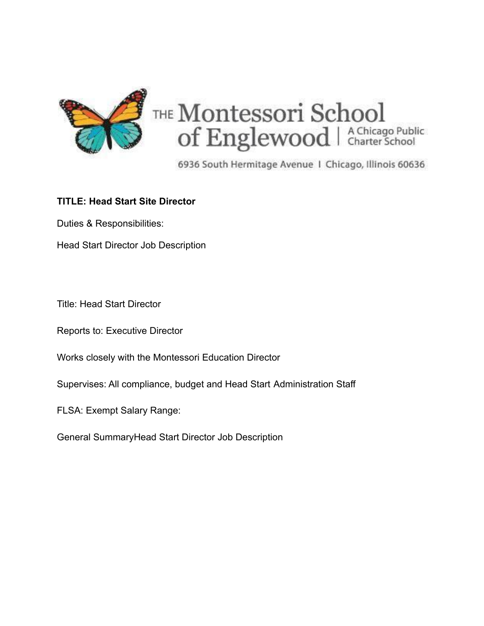

6936 South Hermitage Avenue 1 Chicago, Illinois 60636

## **TITLE: Head Start Site Director**

Duties & Responsibilities:

Head Start Director Job Description

Title: Head Start Director

Reports to: Executive Director

Works closely with the Montessori Education Director

Supervises: All compliance, budget and Head Start Administration Staff

FLSA: Exempt Salary Range:

General SummaryHead Start Director Job Description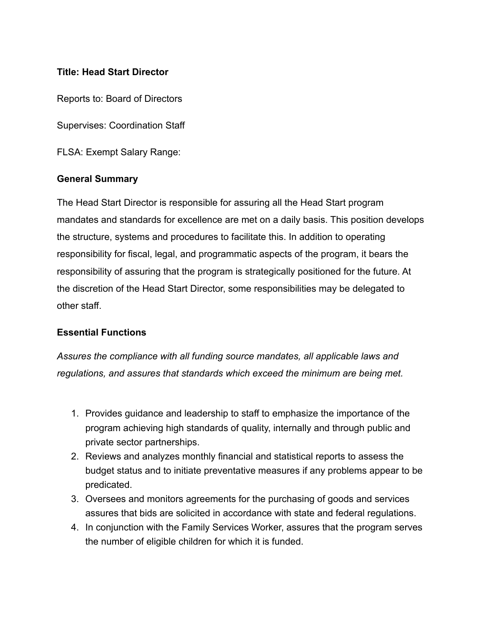### **Title: Head Start Director**

Reports to: Board of Directors

Supervises: Coordination Staff

FLSA: Exempt Salary Range:

#### **General Summary**

The Head Start Director is responsible for assuring all the Head Start program mandates and standards for excellence are met on a daily basis. This position develops the structure, systems and procedures to facilitate this. In addition to operating responsibility for fiscal, legal, and programmatic aspects of the program, it bears the responsibility of assuring that the program is strategically positioned for the future. At the discretion of the Head Start Director, some responsibilities may be delegated to other staff.

#### **Essential Functions**

*Assures the compliance with all funding source mandates, all applicable laws and regulations, and assures that standards which exceed the minimum are being met.*

- 1. Provides guidance and leadership to staff to emphasize the importance of the program achieving high standards of quality, internally and through public and private sector partnerships.
- 2. Reviews and analyzes monthly financial and statistical reports to assess the budget status and to initiate preventative measures if any problems appear to be predicated.
- 3. Oversees and monitors agreements for the purchasing of goods and services assures that bids are solicited in accordance with state and federal regulations.
- 4. In conjunction with the Family Services Worker, assures that the program serves the number of eligible children for which it is funded.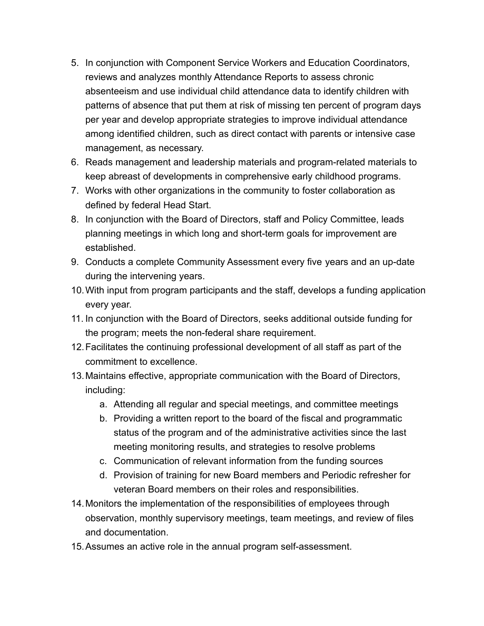- 5. In conjunction with Component Service Workers and Education Coordinators, reviews and analyzes monthly Attendance Reports to assess chronic absenteeism and use individual child attendance data to identify children with patterns of absence that put them at risk of missing ten percent of program days per year and develop appropriate strategies to improve individual attendance among identified children, such as direct contact with parents or intensive case management, as necessary.
- 6. Reads management and leadership materials and program-related materials to keep abreast of developments in comprehensive early childhood programs.
- 7. Works with other organizations in the community to foster collaboration as defined by federal Head Start.
- 8. In conjunction with the Board of Directors, staff and Policy Committee, leads planning meetings in which long and short-term goals for improvement are established.
- 9. Conducts a complete Community Assessment every five years and an up-date during the intervening years.
- 10.With input from program participants and the staff, develops a funding application every year.
- 11. In conjunction with the Board of Directors, seeks additional outside funding for the program; meets the non-federal share requirement.
- 12.Facilitates the continuing professional development of all staff as part of the commitment to excellence.
- 13.Maintains effective, appropriate communication with the Board of Directors, including:
	- a. Attending all regular and special meetings, and committee meetings
	- b. Providing a written report to the board of the fiscal and programmatic status of the program and of the administrative activities since the last meeting monitoring results, and strategies to resolve problems
	- c. Communication of relevant information from the funding sources
	- d. Provision of training for new Board members and Periodic refresher for veteran Board members on their roles and responsibilities.
- 14.Monitors the implementation of the responsibilities of employees through observation, monthly supervisory meetings, team meetings, and review of files and documentation.
- 15.Assumes an active role in the annual program self-assessment.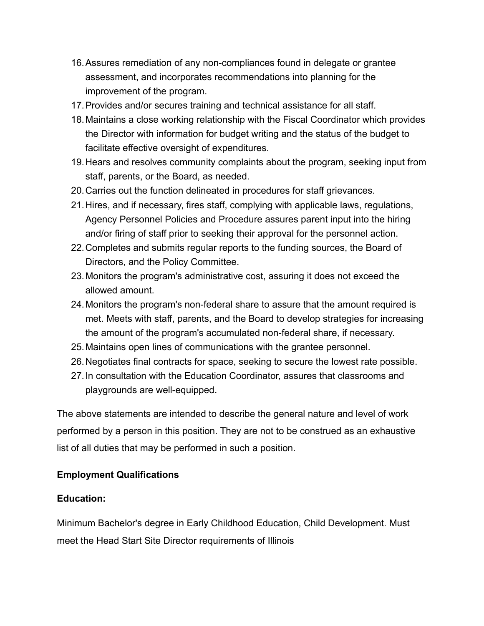- 16.Assures remediation of any non-compliances found in delegate or grantee assessment, and incorporates recommendations into planning for the improvement of the program.
- 17.Provides and/or secures training and technical assistance for all staff.
- 18.Maintains a close working relationship with the Fiscal Coordinator which provides the Director with information for budget writing and the status of the budget to facilitate effective oversight of expenditures.
- 19.Hears and resolves community complaints about the program, seeking input from staff, parents, or the Board, as needed.
- 20.Carries out the function delineated in procedures for staff grievances.
- 21.Hires, and if necessary, fires staff, complying with applicable laws, regulations, Agency Personnel Policies and Procedure assures parent input into the hiring and/or firing of staff prior to seeking their approval for the personnel action.
- 22.Completes and submits regular reports to the funding sources, the Board of Directors, and the Policy Committee.
- 23.Monitors the program's administrative cost, assuring it does not exceed the allowed amount.
- 24.Monitors the program's non-federal share to assure that the amount required is met. Meets with staff, parents, and the Board to develop strategies for increasing the amount of the program's accumulated non-federal share, if necessary.
- 25.Maintains open lines of communications with the grantee personnel.
- 26.Negotiates final contracts for space, seeking to secure the lowest rate possible.
- 27.In consultation with the Education Coordinator, assures that classrooms and playgrounds are well-equipped.

The above statements are intended to describe the general nature and level of work performed by a person in this position. They are not to be construed as an exhaustive list of all duties that may be performed in such a position.

## **Employment Qualifications**

## **Education:**

Minimum Bachelor's degree in Early Childhood Education, Child Development. Must meet the Head Start Site Director requirements of Illinois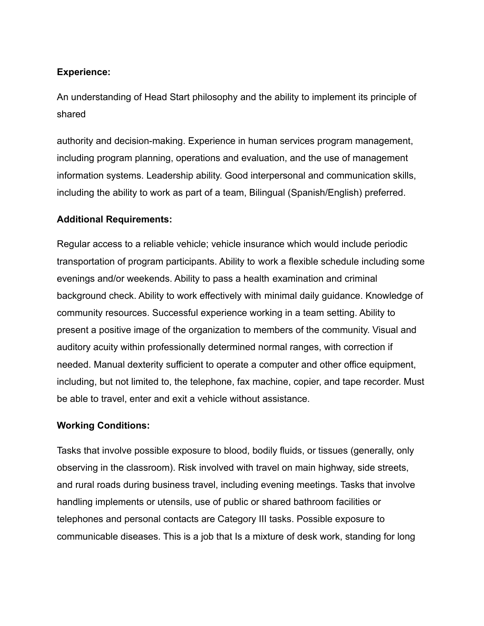## **Experience:**

An understanding of Head Start philosophy and the ability to implement its principle of shared

authority and decision-making. Experience in human services program management, including program planning, operations and evaluation, and the use of management information systems. Leadership ability. Good interpersonal and communication skills, including the ability to work as part of a team, Bilingual (Spanish/English) preferred.

### **Additional Requirements:**

Regular access to a reliable vehicle; vehicle insurance which would include periodic transportation of program participants. Ability to work a flexible schedule including some evenings and/or weekends. Ability to pass a health examination and criminal background check. Ability to work effectively with minimal daily guidance. Knowledge of community resources. Successful experience working in a team setting. Ability to present a positive image of the organization to members of the community. Visual and auditory acuity within professionally determined normal ranges, with correction if needed. Manual dexterity sufficient to operate a computer and other office equipment, including, but not limited to, the telephone, fax machine, copier, and tape recorder. Must be able to travel, enter and exit a vehicle without assistance.

#### **Working Conditions:**

Tasks that involve possible exposure to blood, bodily fluids, or tissues (generally, only observing in the classroom). Risk involved with travel on main highway, side streets, and rural roads during business travel, including evening meetings. Tasks that involve handling implements or utensils, use of public or shared bathroom facilities or telephones and personal contacts are Category III tasks. Possible exposure to communicable diseases. This is a job that Is a mixture of desk work, standing for long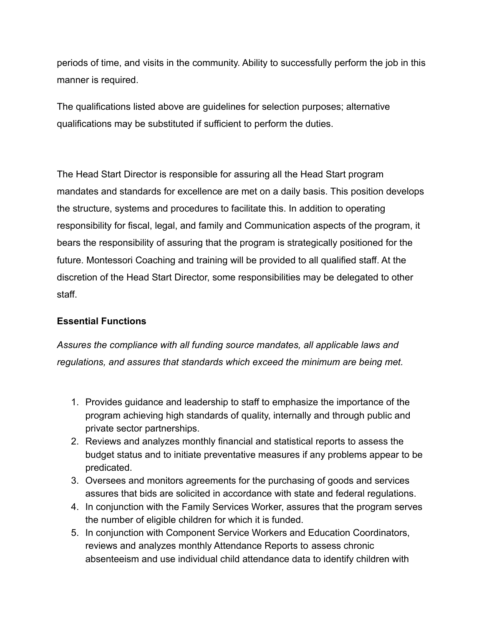periods of time, and visits in the community. Ability to successfully perform the job in this manner is required.

The qualifications listed above are guidelines for selection purposes; alternative qualifications may be substituted if sufficient to perform the duties.

The Head Start Director is responsible for assuring all the Head Start program mandates and standards for excellence are met on a daily basis. This position develops the structure, systems and procedures to facilitate this. In addition to operating responsibility for fiscal, legal, and family and Communication aspects of the program, it bears the responsibility of assuring that the program is strategically positioned for the future. Montessori Coaching and training will be provided to all qualified staff. At the discretion of the Head Start Director, some responsibilities may be delegated to other staff.

## **Essential Functions**

*Assures the compliance with all funding source mandates, all applicable laws and regulations, and assures that standards which exceed the minimum are being met.*

- 1. Provides guidance and leadership to staff to emphasize the importance of the program achieving high standards of quality, internally and through public and private sector partnerships.
- 2. Reviews and analyzes monthly financial and statistical reports to assess the budget status and to initiate preventative measures if any problems appear to be predicated.
- 3. Oversees and monitors agreements for the purchasing of goods and services assures that bids are solicited in accordance with state and federal regulations.
- 4. In conjunction with the Family Services Worker, assures that the program serves the number of eligible children for which it is funded.
- 5. In conjunction with Component Service Workers and Education Coordinators, reviews and analyzes monthly Attendance Reports to assess chronic absenteeism and use individual child attendance data to identify children with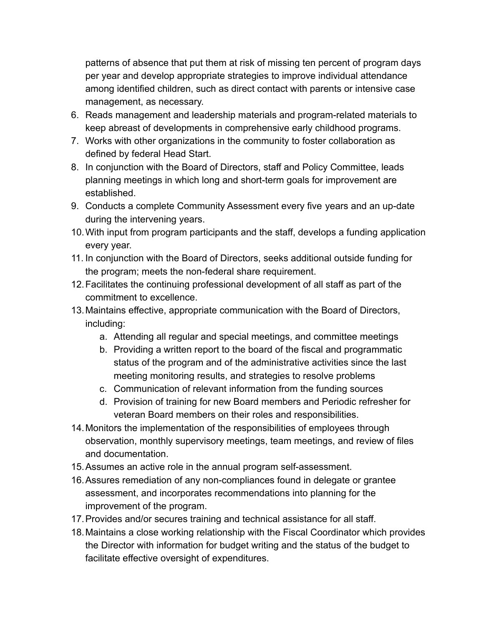patterns of absence that put them at risk of missing ten percent of program days per year and develop appropriate strategies to improve individual attendance among identified children, such as direct contact with parents or intensive case management, as necessary.

- 6. Reads management and leadership materials and program-related materials to keep abreast of developments in comprehensive early childhood programs.
- 7. Works with other organizations in the community to foster collaboration as defined by federal Head Start.
- 8. In conjunction with the Board of Directors, staff and Policy Committee, leads planning meetings in which long and short-term goals for improvement are established.
- 9. Conducts a complete Community Assessment every five years and an up-date during the intervening years.
- 10.With input from program participants and the staff, develops a funding application every year.
- 11. In conjunction with the Board of Directors, seeks additional outside funding for the program; meets the non-federal share requirement.
- 12.Facilitates the continuing professional development of all staff as part of the commitment to excellence.
- 13.Maintains effective, appropriate communication with the Board of Directors, including:
	- a. Attending all regular and special meetings, and committee meetings
	- b. Providing a written report to the board of the fiscal and programmatic status of the program and of the administrative activities since the last meeting monitoring results, and strategies to resolve problems
	- c. Communication of relevant information from the funding sources
	- d. Provision of training for new Board members and Periodic refresher for veteran Board members on their roles and responsibilities.
- 14.Monitors the implementation of the responsibilities of employees through observation, monthly supervisory meetings, team meetings, and review of files and documentation.
- 15.Assumes an active role in the annual program self-assessment.
- 16.Assures remediation of any non-compliances found in delegate or grantee assessment, and incorporates recommendations into planning for the improvement of the program.
- 17.Provides and/or secures training and technical assistance for all staff.
- 18.Maintains a close working relationship with the Fiscal Coordinator which provides the Director with information for budget writing and the status of the budget to facilitate effective oversight of expenditures.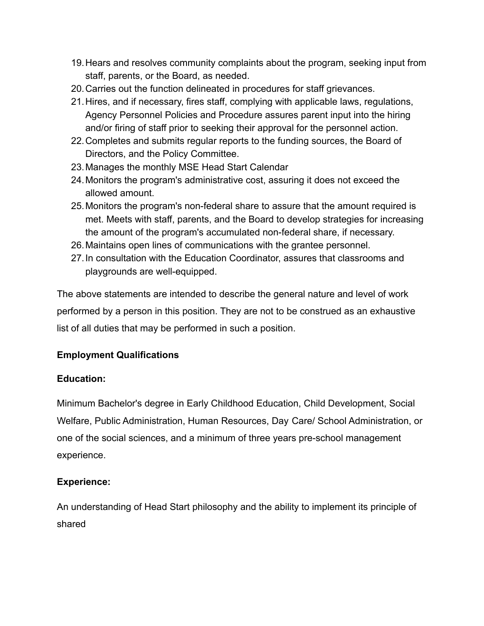- 19.Hears and resolves community complaints about the program, seeking input from staff, parents, or the Board, as needed.
- 20.Carries out the function delineated in procedures for staff grievances.
- 21.Hires, and if necessary, fires staff, complying with applicable laws, regulations, Agency Personnel Policies and Procedure assures parent input into the hiring and/or firing of staff prior to seeking their approval for the personnel action.
- 22.Completes and submits regular reports to the funding sources, the Board of Directors, and the Policy Committee.
- 23.Manages the monthly MSE Head Start Calendar
- 24.Monitors the program's administrative cost, assuring it does not exceed the allowed amount.
- 25.Monitors the program's non-federal share to assure that the amount required is met. Meets with staff, parents, and the Board to develop strategies for increasing the amount of the program's accumulated non-federal share, if necessary.
- 26.Maintains open lines of communications with the grantee personnel.
- 27.In consultation with the Education Coordinator, assures that classrooms and playgrounds are well-equipped.

The above statements are intended to describe the general nature and level of work performed by a person in this position. They are not to be construed as an exhaustive list of all duties that may be performed in such a position.

# **Employment Qualifications**

# **Education:**

Minimum Bachelor's degree in Early Childhood Education, Child Development, Social Welfare, Public Administration, Human Resources, Day Care/ School Administration, or one of the social sciences, and a minimum of three years pre-school management experience.

# **Experience:**

An understanding of Head Start philosophy and the ability to implement its principle of shared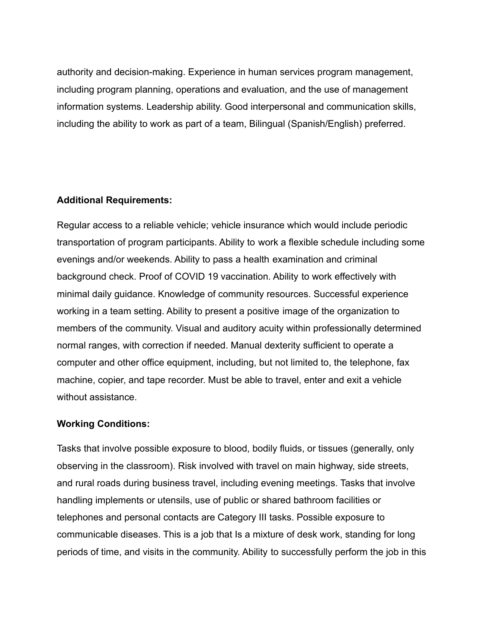authority and decision-making. Experience in human services program management, including program planning, operations and evaluation, and the use of management information systems. Leadership ability. Good interpersonal and communication skills, including the ability to work as part of a team, Bilingual (Spanish/English) preferred.

#### **Additional Requirements:**

Regular access to a reliable vehicle; vehicle insurance which would include periodic transportation of program participants. Ability to work a flexible schedule including some evenings and/or weekends. Ability to pass a health examination and criminal background check. Proof of COVID 19 vaccination. Ability to work effectively with minimal daily guidance. Knowledge of community resources. Successful experience working in a team setting. Ability to present a positive image of the organization to members of the community. Visual and auditory acuity within professionally determined normal ranges, with correction if needed. Manual dexterity sufficient to operate a computer and other office equipment, including, but not limited to, the telephone, fax machine, copier, and tape recorder. Must be able to travel, enter and exit a vehicle without assistance.

## **Working Conditions:**

Tasks that involve possible exposure to blood, bodily fluids, or tissues (generally, only observing in the classroom). Risk involved with travel on main highway, side streets, and rural roads during business travel, including evening meetings. Tasks that involve handling implements or utensils, use of public or shared bathroom facilities or telephones and personal contacts are Category III tasks. Possible exposure to communicable diseases. This is a job that Is a mixture of desk work, standing for long periods of time, and visits in the community. Ability to successfully perform the job in this